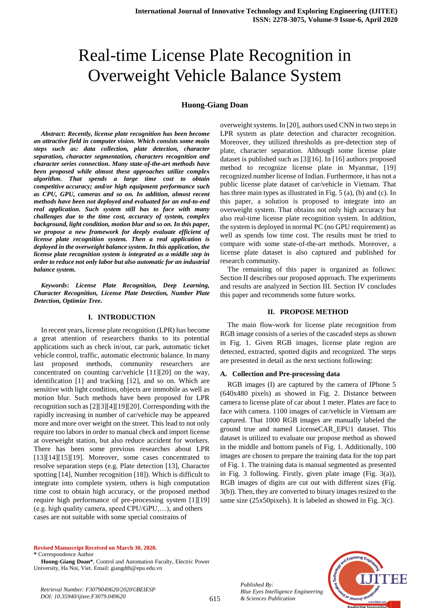# Real-time License Plate Recognition in Overweight Vehicle Balance System

# **Huong-Giang Doan**

*Abstract***:** *Recently, license plate recognition has been become an attractive field in computer vision. Which consists some main steps such as: data collection, plate detection, character separation, character segmentation, characters recognition and character series connection. Many state-of-the-art methods have been proposed while almost these approaches utilize complex algorithm. That spends a large time cost to obtain competitive accuracy; and/or high equipment performance such as CPU, GPU, cameras and so on. In addition, almost recent methods have been not deployed and evaluated for an end-to-end real application. Such system still has to face with many challenges due to the time cost, accuracy of system, complex background, light condition, motion blur and so on. In this paper, we propose a new framework for deeply evaluate efficient of license plate recognition system. Then a real application is deployed in the overweight balance system. In this application, the license plate recognition system is integrated as a middle step in order to reduce not only labor but also automatic for an industrial balance system.*

*Keywords***:** *License Plate Recognition, Deep Learning, Character Recognition, License Plate Detection, Number Plate Detection, Optimize Tree.* 

#### **I. INTRODUCTION**

In recent years, license plate recognition (LPR) has become a great attention of researchers thanks to its potential applications such as check in/out, car park, automatic ticket vehicle control, traffic, automatic electronic balance. In many last proposed methods, community researchers are concentrated on counting car/vehicle [11][20] on the way, identification [1] and tracking [12], and so on. Which are sensitive with light condition, objects are immobile as well as motion blur. Such methods have been proposed for LPR recognition such as [2][3][4][19][20]. Corresponding with the rapidly increasing in number of car/vehicle may be appeared more and more over weight on the street. This lead to not only require too labors in order to manual check and import license at overweight station, but also reduce accident for workers. There has been some previous researches about LPR  $[13][14][15][19]$ . Moreover, some cases concentrated to resolve separation steps (e.g. Plate detection [13], Character spotting [14], Number recognition [18]). Which is difficult to integrate into complete system, others is high computation time cost to obtain high accuracy, or the proposed method require high performance of pre-processing system [1][19] (e.g. high quality camera, speed CPU/GPU,…), and others cases are not suitable with some special constrains of

overweight systems. In [20], authors used CNN in two steps in LPR system as plate detection and character recognition. Moreover, they utilized thresholds as pre-detection step of plate, character separation. Although some license plate dataset is published such as [3][16]. In [16] authors proposed method to recognize license plate in Myanmar, [19] recognized number license of Indian. Furthermore, it has not a public license plate dataset of car/vehicle in Vietnam. That has three main types as illustrated in Fig. 5 (a), (b) and (c). In this paper, a solution is proposed to integrate into an overweight system. That obtains not only high accuracy but also real-time license plate recognition system. In addition, the system is deployed in normal PC (no GPU requirement) as well as spends low time cost. The results must be tried to compare with some state-of-the-art methods. Moreover, a license plate dataset is also captured and published for research community.

The remaining of this paper is organized as follows: Section II describes our proposed approach. The experiments and results are analyzed in Section III. Section IV concludes this paper and recommends some future works.

## **II. PROPOSE METHOD**

The main flow-work for license plate recognition from RGB image consists of a series of the cascaded steps as shown in Fig. 1. Given RGB images, license plate region are detected, extracted, spotted digits and recognized. The steps are presented in detail as the next sections following:

#### **A. Collection and Pre-processing data**

RGB images (I) are captured by the camera of IPhone 5 (640x480 pixels) as showed in Fig. 2. Distance between camera to license plate of car about 1 meter. Plates are face to face with camera. 1100 images of car/vehicle in Vietnam are captured. That 1000 RGB images are manually labeled the ground true and named LicenseCAR\_EPU1 dataset. This dataset is utilized to evaluate our propose method as showed in the middle and bottom panels of Fig. 1. Additionally, 100 images are chosen to prepare the training data for the top part of Fig. 1. The training data is manual segmented as presented in Fig. 3 following. Firstly, given plate image (Fig. 3(a)), RGB images of digits are cut out with different sizes (Fig. 3(b)). Then, they are converted to binary images resized to the same size (25x50pixels). It is labeled as showed in Fig. 3(c).

#### **Revised Manuscript Received on March 30, 2020. \*** Correspondence Author

**Huong-Giang Doan\***, Control and Automation Faculty, Electric Power University, Ha Noi, Viet. Email: giangdth@epu.edu.vn

FF

*Retrieval Number: F3079049620/2020©BEIESP DOI: 10.35940/ijitee.F3079.049620*

*Published By:*

*& Sciences Publication* 

*Blue Eyes Intelligence Engineering*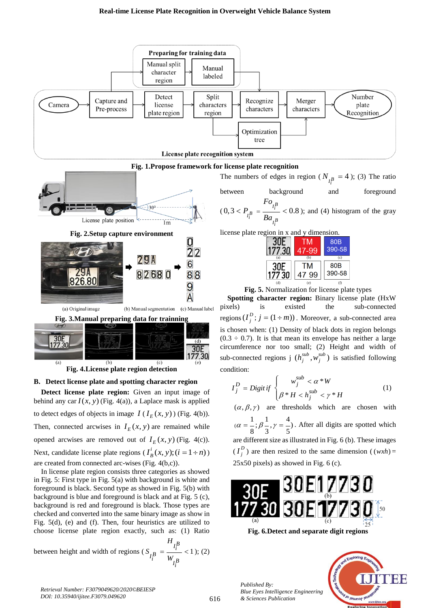#### **Real-time License Plate Recognition in Overweight Vehicle Balance System**



condition:

**Fig. 3.Manual preparing data for trainning** 30F  $(d)$ 7730 30E<br>177.30  $\overline{(\mathbf{b})}$  $\overline{c}$ **Fig. 4.License plate region detection**



**Detect license plate region:** Given an input image of behind any car  $I(x, y)$  (Fig. 4(a)), a Laplace mask is applied to detect edges of objects in image  $I(I_E(x, y))$  (Fig. 4(b)). Then, connected arcwises in  $I_E(x, y)$  are remained while opened arcwises are removed out of  $I_E(x, y)$  (Fig. 4(c)). Next, candidate license plate regions ( $I_B^i(x, y)$ ; ( $i = 1 \div n$ )) are created from connected arc-wises (Fig. 4(b,c)).

In license plate region consists three categories as showed in Fig. 5: First type in Fig. 5(a) with background is white and foreground is black. Second type as showed in Fig. 5(b) with background is blue and foreground is black and at Fig. 5 (c), background is red and foreground is black. Those types are checked and converted into the same binary image as show in Fig. 5(d), (e) and (f). Then, four heuristics are utilized to choose license plate region exactly, such as: (1) Ratio

between height and width of regions ( $S_{R} = \frac{1}{2} < 1$ ) *BI i*  $I_i^B = \frac{W}{W} I_i^B$ *i H S W*  $=\frac{-i}{\sqrt{2}} < 1$ ; (2)

if  $\begin{cases} j \\ \beta * H < h_j^{sub} < \gamma * \end{cases}$  $D = \text{Dirichlet} \int w_j$  $j = Dglu \,ij \,$   $\bigcap_{Q \cong H} a \times I^{sub}$ *j*  $w_j^{sub} < \alpha * W$  $I_j^D = Digit$  $W_j$   $< \alpha * W$ <br>  $\beta * H < h_j^{sub} < \gamma * H$ = Digit if  $\begin{cases} \beta * H < h_i^{sub} < \gamma * \end{cases}$  $\int$ ┤  $\overline{\mathcal{L}}$ (1)  $(\alpha, \beta, \gamma)$  are thresholds which are chosen with  $(\alpha = -\frac{1}{\beta}, \beta = -\frac{4}{\beta})$  $8''3''5$  $\alpha = \frac{1}{2}$ ;  $\beta = \frac{1}{2}$ ,  $\gamma = \frac{1}{2}$ . After all digits are spotted which are different size as illustrated in Fig. 6 (b). These images  $(I_i^D)$  $I_j^D$ ) are then resized to the same dimension ((*wxh*) = 25x50 pixels) as showed in Fig. 6 (c).

\*

is chosen when: (1) Density of black dots in region belongs  $(0.3 \div 0.7)$ . It is that mean its envelope has neither a large circumference nor too small; (2) Height and width of sub-connected regions j  $(h_j^{sub}, w_j^{sub})$  is satisfied following

*sub*

 $\prec$ 



**Fig. 6.Detect and separate digit regions**

*Published By: Blue Eyes Intelligence Engineering & Sciences Publication* 

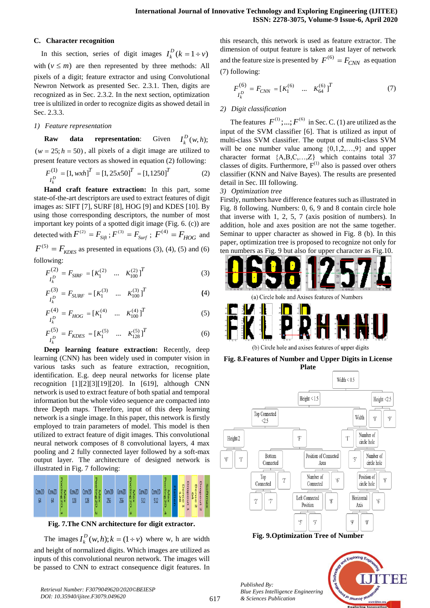# **C. Character recognition**

In this section, series of digit images  $I_k^D$  ( $k = 1 \div \nu$ ) with  $(v \le m)$  are then represented by three methods: All pixels of a digit; feature extractor and using Convolutional Newron Network as presented Sec. 2.3.1. Then, digits are recognized as in Sec. 2.3.2. In the next section, optimization tree is ultilized in order to recognize digits as showed detail in Sec. 2.3.3.

## *1) Feature representation*

**Raw data representation:**  $I_k^D(w, h);$  $(w = 25; h = 50)$ , all pixels of a digit image are utilized to

present feature vectors as showed in equation (2) following:  
\n
$$
F_{I_k}^{(1)} = [1, w x h]^T = [1, 25x50]^T = [1, 1250]^T
$$
\n(2)

**Hand craft feature extraction:** In this part, some state-of-the-art descriptors are used to extract features of digit images as: SIFT [7], SURF [8], HOG [9] and KDES [10]. By using those corresponding descriptors, the number of most important key points of a spotted digit image (Fig. 6. (c)) are detected with  $F^{(2)} = F_{Sif}$ ;  $F^{(3)} = F_{Surf}$ ;  $F^{(4)} = F_{HOG}$  and  $F^{(5)} = F_{KDES}$  as presented in equations (3), (4), (5) and (6) following:

$$
F_{I_k^D}^{(2)} = F_{SIRF} = [K_1^{(2)} \quad \dots \quad K_{100}^{(2)}]^T
$$
 (3)

$$
F_{I_k^D}^{(3)} = F_{SURF} = [K_1^{(3)} \quad \dots \quad K_{100}^{(3)}]^T
$$
 (4)

$$
F_{I_k^D}^{(4)} = F_{HOG} = [K_1^{(4)} \quad \dots \quad K_{100}^{(4)}]^T
$$
 (5)

$$
F_{I_k^D}^{(5)} = F_{KDES} = [K_1^{(5)} \dots K_{128}^{(5)}]^T
$$
 (6)

**Deep learning feature extraction:** Recently, deep learning (CNN) has been widely used in computer vision in various tasks such as feature extraction, recognition, identification. E.g. deep neural networks for license plate recognition [1][2][3][19][20]. In [\[619\]](#page-4-0), although CNN network is used to extract feature of both spatial and temporal information but the whole video sequence are compacted into three Depth maps. Therefore, input of this deep learning network is a single image. In this paper, this network is firstly employed to train parameters of model. This model is then utilized to extract feature of digit images. This convolutional neural network composes of 8 convolutional layers, 4 max pooling and 2 fully connected layer followed by a soft-max output layer. The architecture of designed network is illustrated in Fig. 7 following:



**Fig. 7.The CNN architecture for digit extractor.**

The images  $I_k^D(w, h); k = (1 + v)$  where w, h are width and height of normalized digits. Which images are utilized as inputs of this convolutional neuron network. The images will be passed to CNN to extract consequence digit features. In this research, this network is used as feature extractor. The dimension of output feature is taken at last layer of network and the feature size is presented by  $F^{(6)} = F_{CNN}$  as equation (7) following:

$$
F_{I_k^D}^{(6)} = F_{CNN} = [K_1^{(6)} \dots K_{64}^{(6)}]^T
$$
 (7)

# *2) Digit classification*

The features  $F^{(1)};...;F^{(6)}$  in Sec. C. (1) are utilized as the input of the SVM classifier [6]. That is utilized as input of multi-class SVM classifier. The output of multi-class SVM will be one number value among  $\{0,1,2,...,9\}$  and upper character format {A,B,C,…,Z} which contains total 37 classes of digits. Furthermore,  $F^{(1)}$  also is passed over others classifier (KNN and Naïve Bayes). The results are presented detail in Sec. III following.

## *3) Optimization tree*

Firstly, numbers have difference features such as illustrated in Fig. 8 following. Numbers: 0, 6, 9 and 8 contain circle hole that inverse with 1, 2, 5, 7 (axis position of numbers). In addition, hole and axes position are not the same together. Seminar to upper character as showed in Fig. 8 (b). In this paper, optimization tree is proposed to recognize not only for ten numbers as Fig. 9 but also for upper character as Fig.10.



(b) Circle hole and axises features of upper digits

**Fig. 8.Features of Number and Upper Digits in License Plate**



**Fig. 9.Optimization Tree of Number**



*Published By: Blue Eyes Intelligence Engineering & Sciences Publication*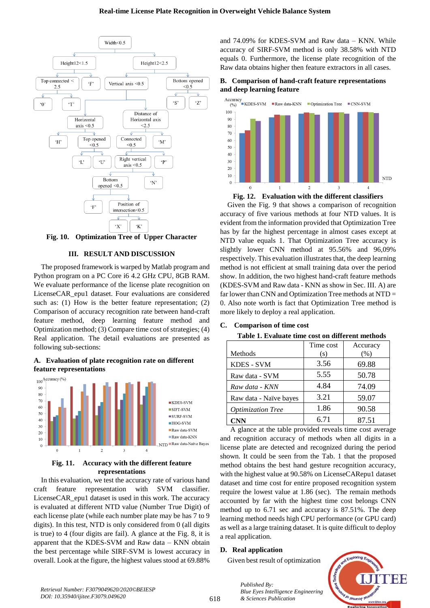

**Fig. 10. Optimization Tree of Upper Character**

# **III. RESULT AND DISCUSSION**

The proposed framework is warped by Matlab program and Python program on a PC Core i6 4.2 GHz CPU, 8GB RAM. We evaluate performance of the license plate recognition on LicenseCAR\_epu1 dataset. Four evaluations are considered such as: (1) How is the better feature representation; (2) Comparison of accuracy recognition rate between hand-craft feature method, deep learning feature method and Optimization method; (3) Compare time cost of strategies; (4) Real application. The detail evaluations are presented as following sub-sections:

**A. Evaluation of plate recognition rate on different feature representations**



# **Fig. 11. Accuracy with the different feature representations**

In this evaluation, we test the accuracy rate of various hand craft feature representation with SVM classifier. LicenseCAR\_epu1 dataset is used in this work. The accuracy is evaluated at different NTD value (Number True Digit) of each license plate (while each number plate may be has 7 to 9 digits). In this test, NTD is only considered from 0 (all digits is true) to 4 (four digits are fail). A glance at the Fig. 8, it is apparent that the KDES-SVM and Raw data – KNN obtain the best percentage while SIRF-SVM is lowest accuracy in overall. Look at the figure, the highest values stood at 69.88%

and 74.09% for KDES-SVM and Raw data – KNN. While accuracy of SIRF-SVM method is only 38.58% with NTD equals 0. Furthermore, the license plate recognition of the Raw data obtains higher then feature extractors in all cases.





**Fig. 12. Evaluation with the different classifiers** 

Given the Fig. 9 that shows a comparison of recognition accuracy of five various methods at four NTD values. It is evident from the information provided that Optimization Tree has by far the highest percentage in almost cases except at NTD value equals 1. That Optimization Tree accuracy is slightly lower CNN method at 95.56% and 96,09% respectively. This evaluation illustrates that, the deep learning method is not efficient at small training data over the period show. In addition, the two highest hand-craft feature methods (KDES-SVM and Raw data - KNN as show in Sec. III. A) are far lower than CNN and Optimization Tree methods at NTD = 0. Also note worth is fact that Optimization Tree method is more likely to deploy a real application.

# **C. Comparison of time cost**

|  |  | Table 1. Evaluate time cost on different methods |
|--|--|--------------------------------------------------|
|--|--|--------------------------------------------------|

|                          | Time cost | Accuracy |
|--------------------------|-----------|----------|
| Methods                  | (s)       | (%)      |
| <b>KDES - SVM</b>        | 3.56      | 69.88    |
| Raw data - SVM           | 5.55      | 50.78    |
| Raw data - KNN           | 4.84      | 74.09    |
| Raw data - Naïve bayes   | 3.21      | 59.07    |
| <b>Optimization Tree</b> | 1.86      | 90.58    |
| <b>CNN</b>               | 6.71      | 87.51    |

A glance at the table provided reveals time cost average and recognition accuracy of methods when all digits in a license plate are detected and recognized during the period shown. It could be seen from the Tab. 1 that the proposed method obtains the best hand gesture recognition accuracy, with the highest value at 90.58% on LicenseCARepu1 dataset dataset and time cost for entire proposed recognition system require the lowest value at 1.86 (sec). The remain methods accounted by far with the highest time cost belongs CNN method up to 6.71 sec and accuracy is 87.51%. The deep learning method needs high CPU performance (or GPU card) as well as a large training dataset. It is quite difficult to deploy a real application.

# **D. Real application**

*Published By:*

Given best result of optimization

*& Sciences Publication* 

*Blue Eyes Intelligence Engineering*